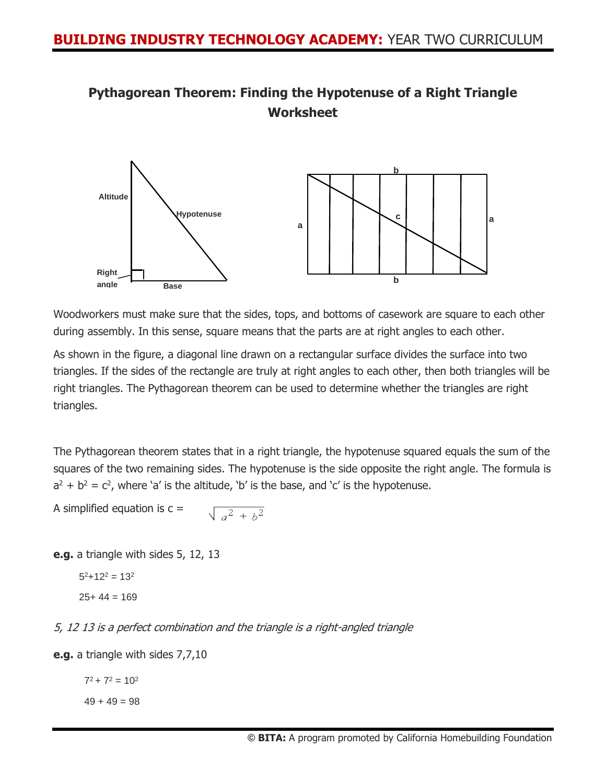



Woodworkers must make sure that the sides, tops, and bottoms of casework are square to each other during assembly. In this sense, square means that the parts are at right angles to each other.

As shown in the figure, a diagonal line drawn on a rectangular surface divides the surface into two triangles. If the sides of the rectangle are truly at right angles to each other, then both triangles will be right triangles. The Pythagorean theorem can be used to determine whether the triangles are right triangles.

The Pythagorean theorem states that in a right triangle, the hypotenuse squared equals the sum of the squares of the two remaining sides. The hypotenuse is the side opposite the right angle. The formula is  $a^2 + b^2 = c^2$ , where 'a' is the altitude, 'b' is the base, and 'c' is the hypotenuse.

A simplified equation is  $c =$  $\sqrt{a^2 + b^2}$ 

**e.g.** a triangle with sides 5, 12, 13

```
5^2 + 12<sup>2</sup> = 13<sup>2</sup>
25+44=169
```
5, 12 13 is a perfect combination and the triangle is a right-angled triangle

**e.g.** a triangle with sides 7,7,10

 $7^2$  +  $7^2$  = 10<sup>2</sup>

 $49 + 49 = 98$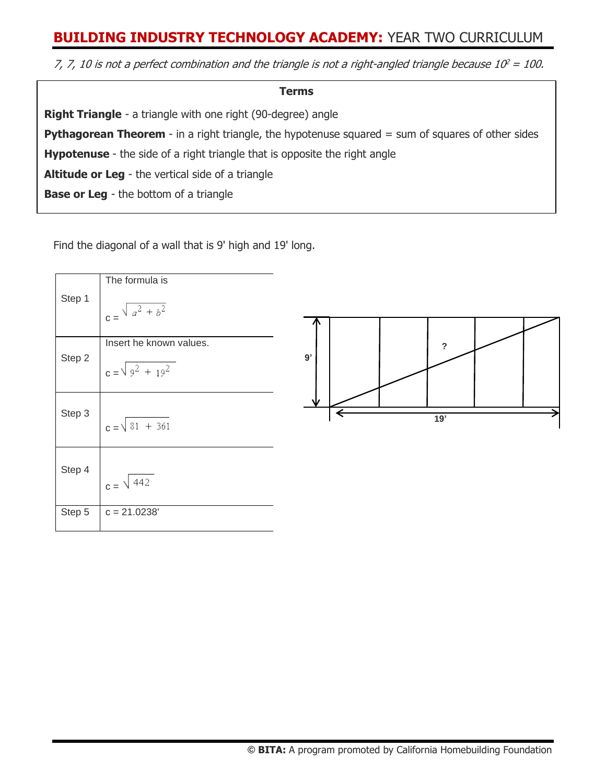## **BUILDING INDUSTRY TECHNOLOGY ACADEMY:** YEAR TWO CURRICULUM

7, 7, 10 is not a perfect combination and the triangle is not a right-angled triangle because 10 $^2$  = 100.

| <b>Terms</b>                                                                                               |
|------------------------------------------------------------------------------------------------------------|
| <b>Right Triangle</b> - a triangle with one right (90-degree) angle                                        |
| <b>Pythagorean Theorem</b> - in a right triangle, the hypotenuse squared $=$ sum of squares of other sides |
| <b>Hypotenuse</b> - the side of a right triangle that is opposite the right angle                          |
| <b>Altitude or Leg</b> - the vertical side of a triangle                                                   |
| <b>Base or Leg</b> - the bottom of a triangle                                                              |

Find the diagonal of a wall that is 9' high and 19' long.

≈ almost equal to

|        | The formula is                |                           |
|--------|-------------------------------|---------------------------|
| Step 1 | $\int_{c} = \sqrt{a^2 + b^2}$ |                           |
|        |                               |                           |
|        | Insert he known values.       | $\boldsymbol{\mathsf{?}}$ |
| Step 2 | $c = \sqrt{9^2 + 19^2}$       | 9'                        |
|        |                               | N                         |
| Step 3 | $c = \sqrt{81 + 361}$         | 19'                       |
|        |                               |                           |
| Step 4 | $c = \sqrt{442}$              |                           |
| Step 5 | $c = 21.0238'$                |                           |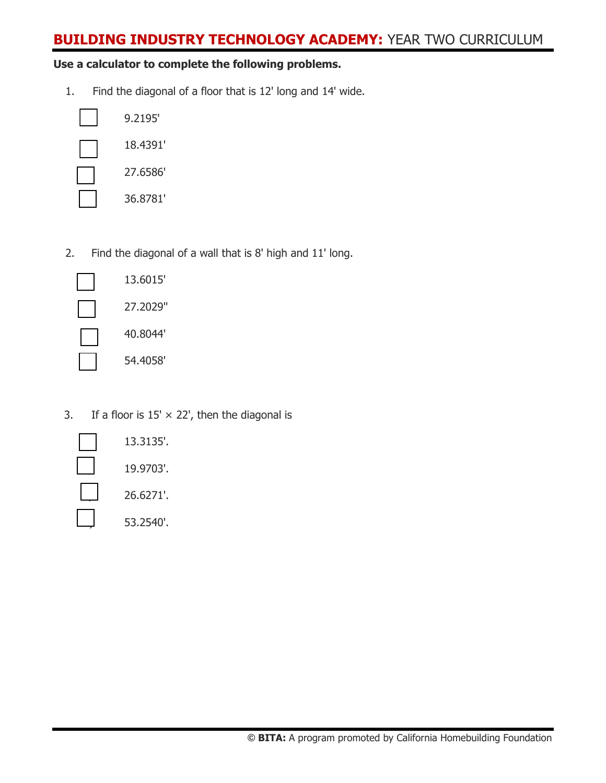## **BUILDING INDUSTRY TECHNOLOGY ACADEMY:** YEAR TWO CURRICULUM

### **Use a calculator to complete the following problems.**

1. Find the diagonal of a floor that is 12' long and 14' wide.

| 9.2195'  |
|----------|
| 18.4391' |
| 27.6586' |
| 36.8781' |

2. Find the diagonal of a wall that is 8' high and 11' long.

| Ē<br>1                         |
|--------------------------------|
| 27                             |
| 40                             |
| 5,<br>$\overline{\phantom{a}}$ |

A) 13.6015' B) 27.2029''  $0.8044'$ D) 54.4058'

3. If a floor is  $15' \times 22'$ , then the diagonal is

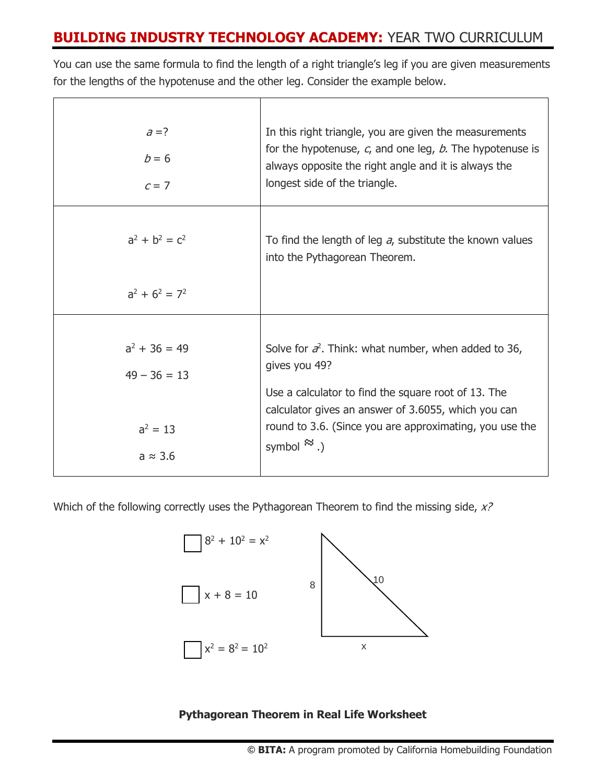# **BUILDING INDUSTRY TECHNOLOGY ACADEMY:** YEAR TWO CURRICULUM

You can use the same formula to find the length of a right triangle's leg if you are given measurements for the lengths of the hypotenuse and the other leg. Consider the example below.

| $a = ?$<br>$b=6$<br>$c = 7$                                        | In this right triangle, you are given the measurements<br>for the hypotenuse, $c_i$ and one leg, $b$ . The hypotenuse is<br>always opposite the right angle and it is always the<br>longest side of the triangle.                                                                |
|--------------------------------------------------------------------|----------------------------------------------------------------------------------------------------------------------------------------------------------------------------------------------------------------------------------------------------------------------------------|
| $a^2 + b^2 = c^2$<br>$a^2 + 6^2 = 7^2$                             | To find the length of leg a, substitute the known values<br>into the Pythagorean Theorem.                                                                                                                                                                                        |
|                                                                    |                                                                                                                                                                                                                                                                                  |
| $a^2 + 36 = 49$<br>$49 - 36 = 13$<br>$a^2 = 13$<br>$a \approx 3.6$ | Solve for $\vec{\sigma}$ . Think: what number, when added to 36,<br>gives you 49?<br>Use a calculator to find the square root of 13. The<br>calculator gives an answer of 3.6055, which you can<br>round to 3.6. (Since you are approximating, you use the<br>symbol $\ddots$ .) |

Which of the following correctly uses the Pythagorean Theorem to find the missing side, x?



**Pythagorean Theorem in Real Life Worksheet**